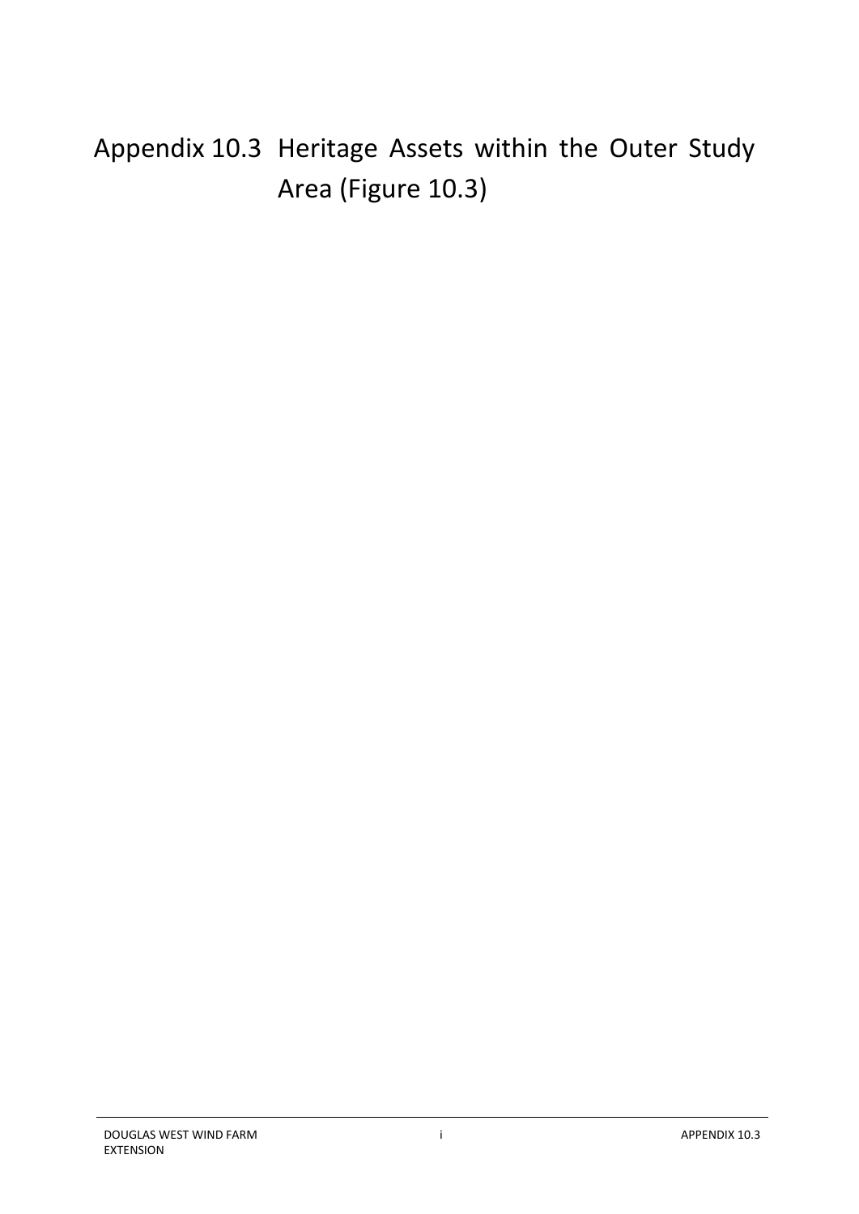## Appendix 10.3 Heritage Assets within the Outer Study Area (Figure 10.3)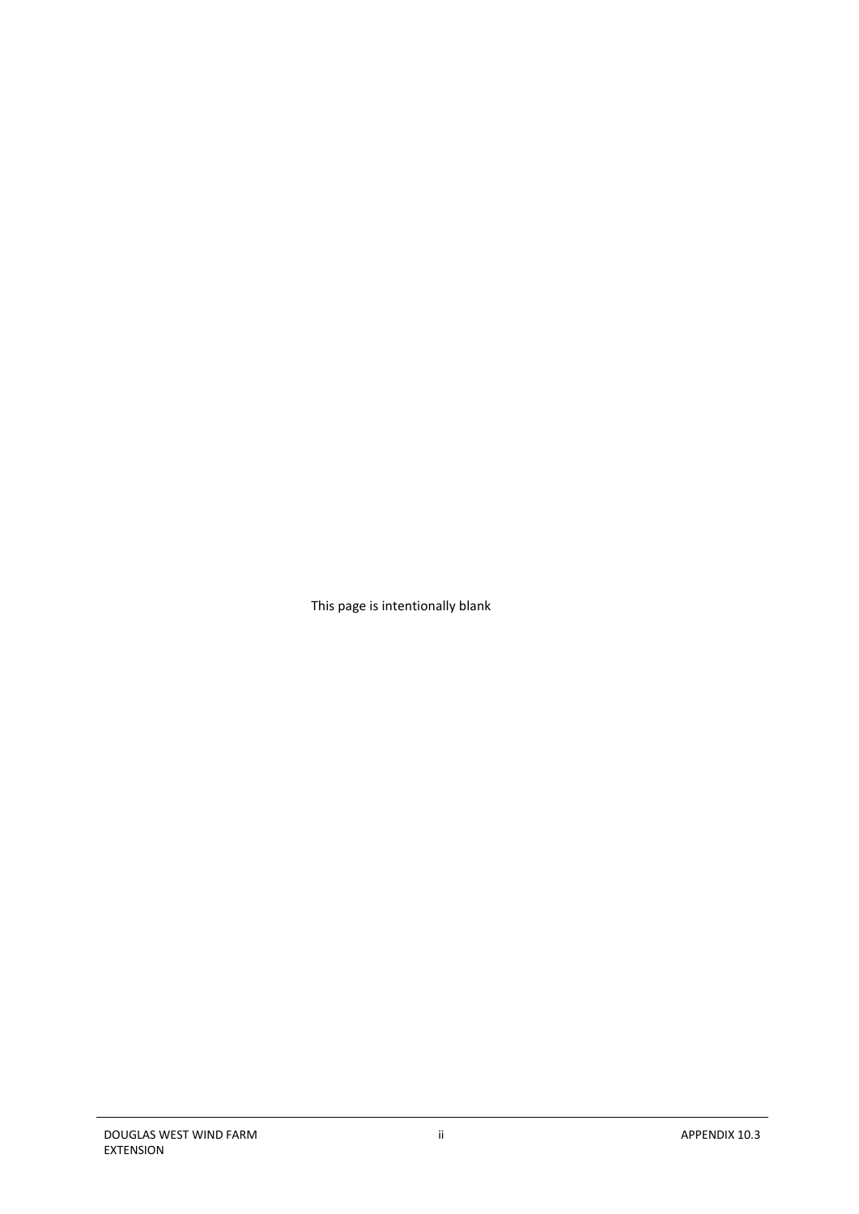This page is intentionally blank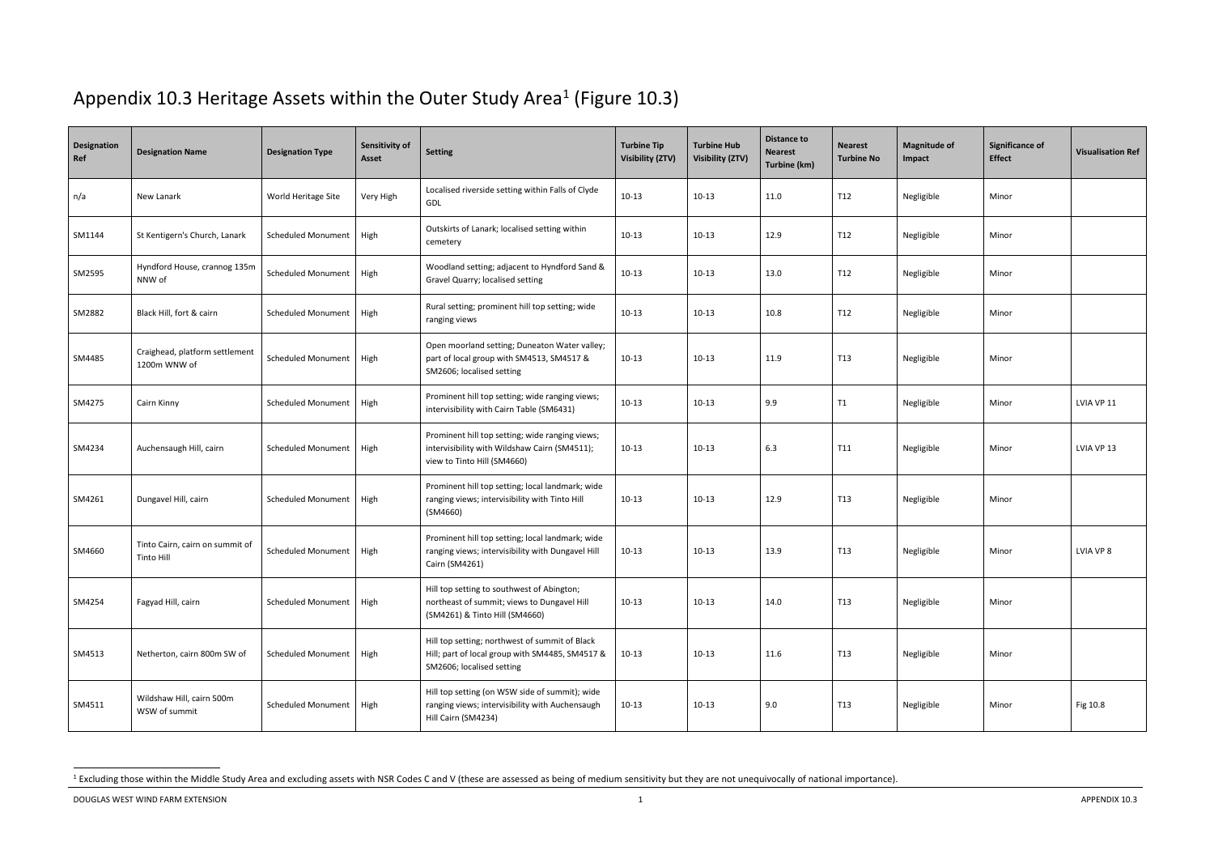## <span id="page-2-0"></span>Appendix [1](#page-2-0)0.3 Heritage Assets within the Outer Study Area<sup>1</sup> (Figure 10.3)

| Designation<br>Ref | <b>Designation Name</b>                              | <b>Designation Type</b>   | Sensitivity of<br>Asset | <b>Setting</b>                                                                                                                  | <b>Turbine Tip</b><br><b>Visibility (ZTV)</b> | <b>Turbine Hub</b><br><b>Visibility (ZTV)</b> | <b>Distance to</b><br><b>Nearest</b><br>Turbine (km) | <b>Nearest</b><br><b>Turbine No</b> | <b>Magnitude of</b><br>Impact | <b>Significance of</b><br><b>Effect</b> | <b>Visualisation Ref</b> |
|--------------------|------------------------------------------------------|---------------------------|-------------------------|---------------------------------------------------------------------------------------------------------------------------------|-----------------------------------------------|-----------------------------------------------|------------------------------------------------------|-------------------------------------|-------------------------------|-----------------------------------------|--------------------------|
| n/a                | New Lanark                                           | World Heritage Site       | Very High               | Localised riverside setting within Falls of Clyde<br>GDL                                                                        | $10-13$                                       | $10-13$                                       | 11.0                                                 | T12                                 | Negligible                    | Minor                                   |                          |
| SM1144             | St Kentigern's Church, Lanark                        | Scheduled Monument   High |                         | Outskirts of Lanark; localised setting within<br>cemetery                                                                       | $10-13$                                       | $10-13$                                       | 12.9                                                 | T12                                 | Negligible                    | Minor                                   |                          |
| SM2595             | Hyndford House, crannog 135m<br>NNW of               | Scheduled Monument        | High                    | Woodland setting; adjacent to Hyndford Sand &<br>Gravel Quarry; localised setting                                               | $10-13$                                       | $10-13$                                       | 13.0                                                 | T12                                 | Negligible                    | Minor                                   |                          |
| SM2882             | Black Hill, fort & cairn                             | <b>Scheduled Monument</b> | High                    | Rural setting; prominent hill top setting; wide<br>ranging views                                                                | $10-13$                                       | $10-13$                                       | 10.8                                                 | T12                                 | Negligible                    | Minor                                   |                          |
| SM4485             | Craighead, platform settlement<br>1200m WNW of       | Scheduled Monument   High |                         | Open moorland setting; Duneaton Water valley;<br>part of local group with SM4513, SM4517 &<br>SM2606; localised setting         | $10-13$                                       | $10-13$                                       | 11.9                                                 | T13                                 | Negligible                    | Minor                                   |                          |
| SM4275             | Cairn Kinny                                          | Scheduled Monument        | High                    | Prominent hill top setting; wide ranging views;<br>intervisibility with Cairn Table (SM6431)                                    | $10-13$                                       | $10-13$                                       | 9.9                                                  | T1                                  | Negligible                    | Minor                                   | LVIA VP 11               |
| SM4234             | Auchensaugh Hill, cairn                              | Scheduled Monument        | High                    | Prominent hill top setting; wide ranging views;<br>intervisibility with Wildshaw Cairn (SM4511);<br>view to Tinto Hill (SM4660) | $10-13$                                       | $10-13$                                       | 6.3                                                  | T11                                 | Negligible                    | Minor                                   | LVIA VP 13               |
| SM4261             | Dungavel Hill, cairn                                 | Scheduled Monument   High |                         | Prominent hill top setting; local landmark; wide<br>ranging views; intervisibility with Tinto Hill<br>(SM4660)                  | $10-13$                                       | $10-13$                                       | 12.9                                                 | T13                                 | Negligible                    | Minor                                   |                          |
| SM4660             | Tinto Cairn, cairn on summit of<br><b>Tinto Hill</b> | Scheduled Monument   High |                         | Prominent hill top setting; local landmark; wide<br>ranging views; intervisibility with Dungavel Hill<br>Cairn (SM4261)         | $10-13$                                       | $10-13$                                       | 13.9                                                 | T <sub>13</sub>                     | Negligible                    | Minor                                   | LVIA VP 8                |
| SM4254             | Fagyad Hill, cairn                                   | Scheduled Monument   High |                         | Hill top setting to southwest of Abington;<br>northeast of summit; views to Dungavel Hill<br>(SM4261) & Tinto Hill (SM4660)     | $10-13$                                       | $10 - 13$                                     | 14.0                                                 | T <sub>13</sub>                     | Negligible                    | Minor                                   |                          |
| SM4513             | Netherton, cairn 800m SW of                          | Scheduled Monument   High |                         | Hill top setting; northwest of summit of Black<br>Hill; part of local group with SM4485, SM4517 &<br>SM2606; localised setting  | $10-13$                                       | $10-13$                                       | 11.6                                                 | T13                                 | Negligible                    | Minor                                   |                          |
| SM4511             | Wildshaw Hill, cairn 500m<br>WSW of summit           | Scheduled Monument   High |                         | Hill top setting (on WSW side of summit); wide<br>ranging views; intervisibility with Auchensaugh<br>Hill Cairn (SM4234)        | $10-13$                                       | $10-13$                                       | 9.0                                                  | T <sub>13</sub>                     | Negligible                    | Minor                                   | Fig 10.8                 |

<sup>&</sup>lt;sup>1</sup> Excluding those within the Middle Study Area and excluding assets with NSR Codes C and V (these are assessed as being of medium sensitivity but they are not unequivocally of national importance).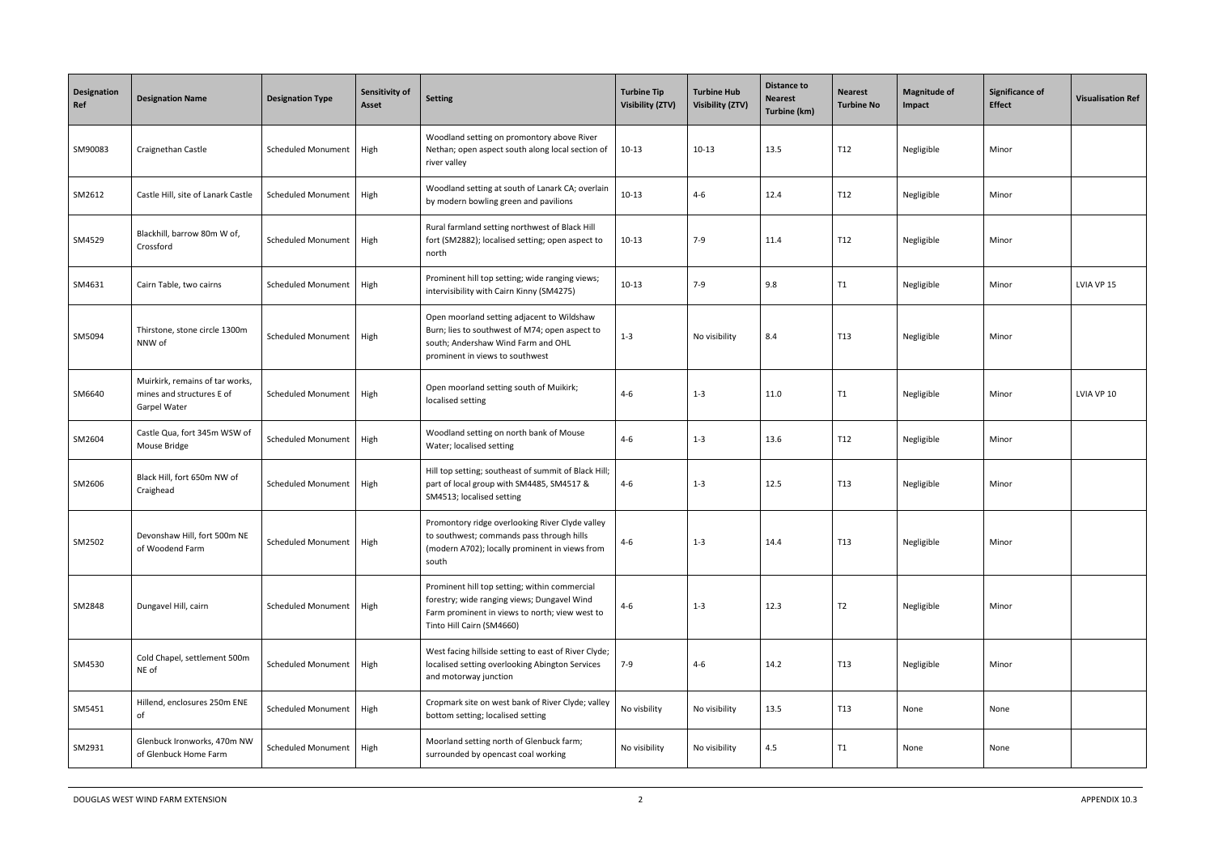| Designation<br>Ref | <b>Designation Name</b>                                                      | <b>Designation Type</b>   | Sensitivity of<br>Asset | <b>Setting</b>                                                                                                                                                              | <b>Turbine Tip</b><br><b>Visibility (ZTV)</b> | <b>Turbine Hub</b><br><b>Visibility (ZTV)</b> | <b>Distance to</b><br><b>Nearest</b><br>Turbine (km) | <b>Nearest</b><br><b>Turbine No</b> | <b>Magnitude of</b><br>Impact | <b>Significance of</b><br><b>Effect</b> | <b>Visualisation Ref</b> |
|--------------------|------------------------------------------------------------------------------|---------------------------|-------------------------|-----------------------------------------------------------------------------------------------------------------------------------------------------------------------------|-----------------------------------------------|-----------------------------------------------|------------------------------------------------------|-------------------------------------|-------------------------------|-----------------------------------------|--------------------------|
| SM90083            | Craignethan Castle                                                           | Scheduled Monument   High |                         | Woodland setting on promontory above River<br>Nethan; open aspect south along local section of<br>river valley                                                              | $10-13$                                       | $10-13$                                       | 13.5                                                 | T12                                 | Negligible                    | Minor                                   |                          |
| SM2612             | Castle Hill, site of Lanark Castle                                           | <b>Scheduled Monument</b> | High                    | Woodland setting at south of Lanark CA; overlain<br>by modern bowling green and pavilions                                                                                   | $10-13$                                       | $4 - 6$                                       | 12.4                                                 | T12                                 | Negligible                    | Minor                                   |                          |
| SM4529             | Blackhill, barrow 80m W of,<br>Crossford                                     | Scheduled Monument   High |                         | Rural farmland setting northwest of Black Hill<br>fort (SM2882); localised setting; open aspect to<br>north                                                                 | $10-13$                                       | $7-9$                                         | 11.4                                                 | T12                                 | Negligible                    | Minor                                   |                          |
| SM4631             | Cairn Table, two cairns                                                      | Scheduled Monument   High |                         | Prominent hill top setting; wide ranging views;<br>intervisibility with Cairn Kinny (SM4275)                                                                                | $10-13$                                       | $7-9$                                         | 9.8                                                  | T1                                  | Negligible                    | Minor                                   | LVIA VP 15               |
| SM5094             | Thirstone, stone circle 1300m<br>NNW of                                      | Scheduled Monument        | High                    | Open moorland setting adjacent to Wildshaw<br>Burn; lies to southwest of M74; open aspect to<br>south; Andershaw Wind Farm and OHL<br>prominent in views to southwest       | $1 - 3$                                       | No visibility                                 | 8.4                                                  | T13                                 | Negligible                    | Minor                                   |                          |
| SM6640             | Muirkirk, remains of tar works,<br>mines and structures E of<br>Garpel Water | Scheduled Monument        | High                    | Open moorland setting south of Muikirk;<br>localised setting                                                                                                                | $4 - 6$                                       | $1 - 3$                                       | 11.0                                                 | T1                                  | Negligible                    | Minor                                   | LVIA VP 10               |
| SM2604             | Castle Qua, fort 345m WSW of<br>Mouse Bridge                                 | Scheduled Monument        | High                    | Woodland setting on north bank of Mouse<br>Water; localised setting                                                                                                         | $4 - 6$                                       | $1 - 3$                                       | 13.6                                                 | T12                                 | Negligible                    | Minor                                   |                          |
| SM2606             | Black Hill, fort 650m NW of<br>Craighead                                     | Scheduled Monument        | High                    | Hill top setting; southeast of summit of Black Hill;<br>part of local group with SM4485, SM4517 &<br>SM4513; localised setting                                              | $4 - 6$                                       | $1 - 3$                                       | 12.5                                                 | <b>T13</b>                          | Negligible                    | Minor                                   |                          |
| SM2502             | Devonshaw Hill, fort 500m NE<br>of Woodend Farm                              | Scheduled Monument   High |                         | Promontory ridge overlooking River Clyde valley<br>to southwest; commands pass through hills<br>(modern A702); locally prominent in views from<br>south                     | $4 - 6$                                       | $1 - 3$                                       | 14.4                                                 | T13                                 | Negligible                    | Minor                                   |                          |
| SM2848             | Dungavel Hill, cairn                                                         | Scheduled Monument   High |                         | Prominent hill top setting; within commercial<br>forestry; wide ranging views; Dungavel Wind<br>Farm prominent in views to north; view west to<br>Tinto Hill Cairn (SM4660) | $4 - 6$                                       | $1 - 3$                                       | 12.3                                                 | T2                                  | Negligible                    | Minor                                   |                          |
| SM4530             | Cold Chapel, settlement 500m<br>NE of                                        | Scheduled Monument   High |                         | West facing hillside setting to east of River Clyde;<br>localised setting overlooking Abington Services<br>and motorway junction                                            | $7-9$                                         | $4 - 6$                                       | 14.2                                                 | T13                                 | Negligible                    | Minor                                   |                          |
| SM5451             | Hillend, enclosures 250m ENE<br>of                                           | Scheduled Monument        | High                    | Cropmark site on west bank of River Clyde; valley<br>bottom setting; localised setting                                                                                      | No visbility                                  | No visibility                                 | 13.5                                                 | T13                                 | None                          | None                                    |                          |
| SM2931             | Glenbuck Ironworks, 470m NW<br>of Glenbuck Home Farm                         | Scheduled Monument   High |                         | Moorland setting north of Glenbuck farm;<br>surrounded by opencast coal working                                                                                             | No visibility                                 | No visibility                                 | 4.5                                                  | T1                                  | None                          | None                                    |                          |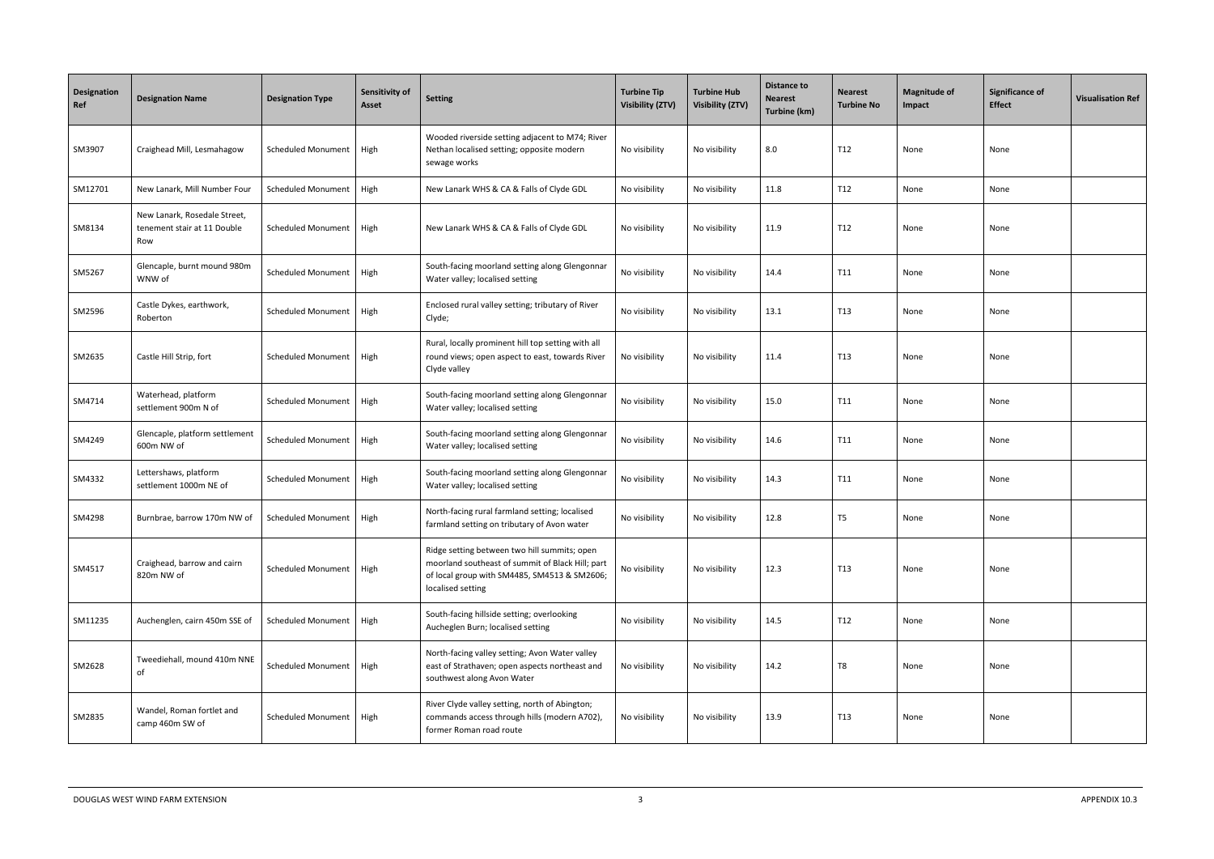| Designation<br>Ref | <b>Designation Name</b>                                            | <b>Designation Type</b>   | Sensitivity of<br>Asset | <b>Setting</b>                                                                                                                                                        | <b>Turbine Tip</b><br><b>Visibility (ZTV)</b> | <b>Turbine Hub</b><br><b>Visibility (ZTV)</b> | <b>Distance to</b><br><b>Nearest</b><br>Turbine (km) | <b>Nearest</b><br><b>Turbine No</b> | <b>Magnitude of</b><br>Impact | <b>Significance of</b><br><b>Effect</b> | <b>Visualisation Ref</b> |
|--------------------|--------------------------------------------------------------------|---------------------------|-------------------------|-----------------------------------------------------------------------------------------------------------------------------------------------------------------------|-----------------------------------------------|-----------------------------------------------|------------------------------------------------------|-------------------------------------|-------------------------------|-----------------------------------------|--------------------------|
| SM3907             | Craighead Mill, Lesmahagow                                         | <b>Scheduled Monument</b> | High                    | Wooded riverside setting adjacent to M74; River<br>Nethan localised setting; opposite modern<br>sewage works                                                          | No visibility                                 | No visibility                                 | 8.0                                                  | T12                                 | None                          | None                                    |                          |
| SM12701            | New Lanark, Mill Number Four                                       | <b>Scheduled Monument</b> | High                    | New Lanark WHS & CA & Falls of Clyde GDL                                                                                                                              | No visibility                                 | No visibility                                 | 11.8                                                 | T12                                 | None                          | None                                    |                          |
| SM8134             | New Lanark, Rosedale Street,<br>tenement stair at 11 Double<br>Row | <b>Scheduled Monument</b> | High                    | New Lanark WHS & CA & Falls of Clyde GDL                                                                                                                              | No visibility                                 | No visibility                                 | 11.9                                                 | T12                                 | None                          | None                                    |                          |
| SM5267             | Glencaple, burnt mound 980m<br>WNW of                              | <b>Scheduled Monument</b> | High                    | South-facing moorland setting along Glengonnar<br>Water valley; localised setting                                                                                     | No visibility                                 | No visibility                                 | 14.4                                                 | T11                                 | None                          | None                                    |                          |
| SM2596             | Castle Dykes, earthwork,<br>Roberton                               | <b>Scheduled Monument</b> | High                    | Enclosed rural valley setting; tributary of River<br>Clyde;                                                                                                           | No visibility                                 | No visibility                                 | 13.1                                                 | T13                                 | None                          | None                                    |                          |
| SM2635             | Castle Hill Strip, fort                                            | <b>Scheduled Monument</b> | High                    | Rural, locally prominent hill top setting with all<br>round views; open aspect to east, towards River<br>Clyde valley                                                 | No visibility                                 | No visibility                                 | 11.4                                                 | T13                                 | None                          | None                                    |                          |
| SM4714             | Waterhead, platform<br>settlement 900m N of                        | <b>Scheduled Monument</b> | High                    | South-facing moorland setting along Glengonnar<br>Water valley; localised setting                                                                                     | No visibility                                 | No visibility                                 | 15.0                                                 | T11                                 | None                          | None                                    |                          |
| SM4249             | Glencaple, platform settlement<br>600m NW of                       | <b>Scheduled Monument</b> | High                    | South-facing moorland setting along Glengonnar<br>Water valley; localised setting                                                                                     | No visibility                                 | No visibility                                 | 14.6                                                 | T11                                 | None                          | None                                    |                          |
| SM4332             | Lettershaws, platform<br>settlement 1000m NE of                    | Scheduled Monument        | High                    | South-facing moorland setting along Glengonnar<br>Water valley; localised setting                                                                                     | No visibility                                 | No visibility                                 | 14.3                                                 | T11                                 | None                          | None                                    |                          |
| SM4298             | Burnbrae, barrow 170m NW of                                        | <b>Scheduled Monument</b> | High                    | North-facing rural farmland setting; localised<br>farmland setting on tributary of Avon water                                                                         | No visibility                                 | No visibility                                 | 12.8                                                 | T5                                  | None                          | None                                    |                          |
| SM4517             | Craighead, barrow and cairn<br>820m NW of                          | <b>Scheduled Monument</b> | High                    | Ridge setting between two hill summits; open<br>moorland southeast of summit of Black Hill; part<br>of local group with SM4485, SM4513 & SM2606;<br>localised setting | No visibility                                 | No visibility                                 | 12.3                                                 | T13                                 | None                          | None                                    |                          |
| SM11235            | Auchenglen, cairn 450m SSE of                                      | <b>Scheduled Monument</b> | High                    | South-facing hillside setting; overlooking<br>Aucheglen Burn; localised setting                                                                                       | No visibility                                 | No visibility                                 | 14.5                                                 | T12                                 | None                          | None                                    |                          |
| SM2628             | Tweediehall, mound 410m NNE<br>of                                  | <b>Scheduled Monument</b> | High                    | North-facing valley setting; Avon Water valley<br>east of Strathaven; open aspects northeast and<br>southwest along Avon Water                                        | No visibility                                 | No visibility                                 | 14.2                                                 | T8                                  | None                          | None                                    |                          |
| SM2835             | Wandel, Roman fortlet and<br>camp 460m SW of                       | <b>Scheduled Monument</b> | High                    | River Clyde valley setting, north of Abington;<br>commands access through hills (modern A702),<br>former Roman road route                                             | No visibility                                 | No visibility                                 | 13.9                                                 | T13                                 | None                          | None                                    |                          |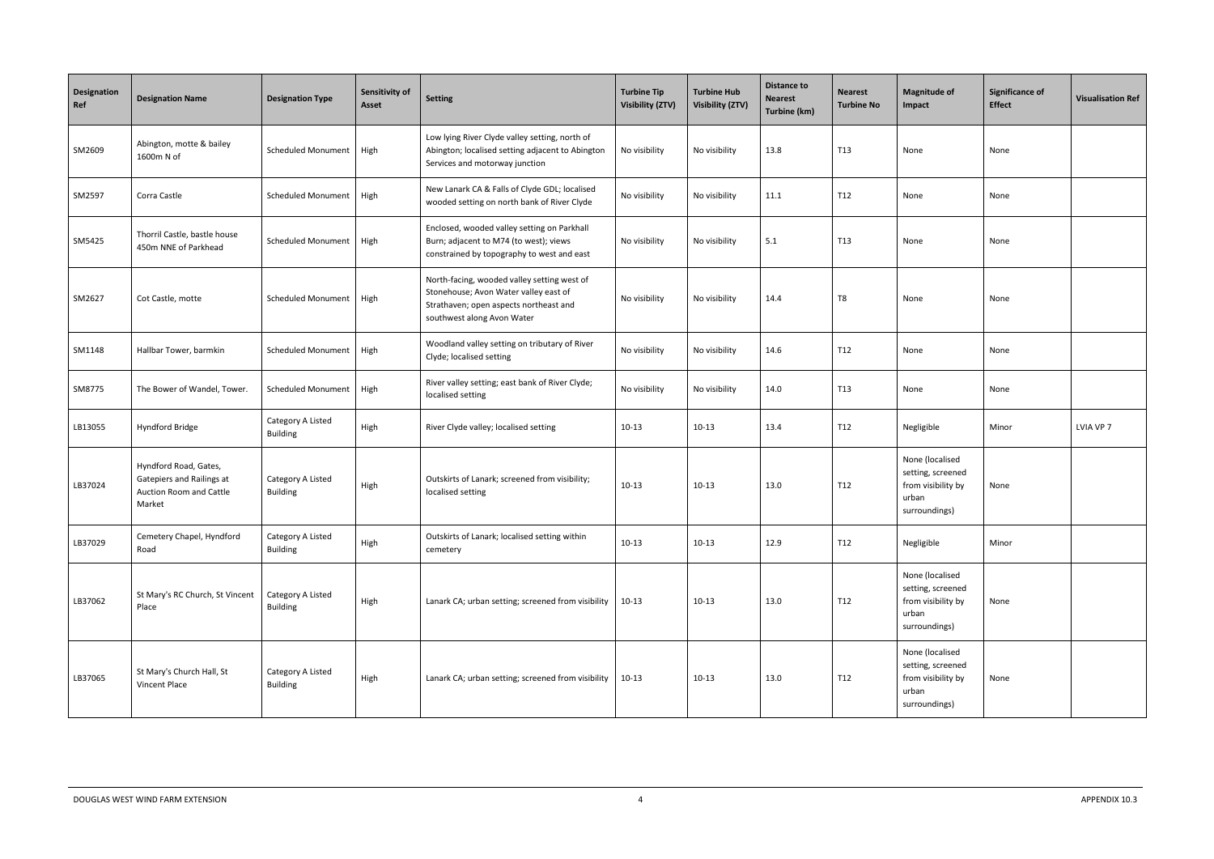| Designation<br>Ref | <b>Designation Name</b>                                                                 | <b>Designation Type</b>              | Sensitivity of<br>Asset | <b>Setting</b>                                                                                                                                               | <b>Turbine Tip</b><br><b>Visibility (ZTV)</b> | <b>Turbine Hub</b><br><b>Visibility (ZTV)</b> | <b>Distance to</b><br><b>Nearest</b><br>Turbine (km) | <b>Nearest</b><br><b>Turbine No</b> | <b>Magnitude of</b><br>Impact                                                        | <b>Significance of</b><br><b>Effect</b> | <b>Visualisation Ref</b> |
|--------------------|-----------------------------------------------------------------------------------------|--------------------------------------|-------------------------|--------------------------------------------------------------------------------------------------------------------------------------------------------------|-----------------------------------------------|-----------------------------------------------|------------------------------------------------------|-------------------------------------|--------------------------------------------------------------------------------------|-----------------------------------------|--------------------------|
| SM2609             | Abington, motte & bailey<br>1600m N of                                                  | <b>Scheduled Monument</b>            | High                    | Low lying River Clyde valley setting, north of<br>Abington; localised setting adjacent to Abington<br>Services and motorway junction                         | No visibility                                 | No visibility                                 | 13.8                                                 | T13                                 | None                                                                                 | None                                    |                          |
| SM2597             | Corra Castle                                                                            | <b>Scheduled Monument</b>            | High                    | New Lanark CA & Falls of Clyde GDL; localised<br>wooded setting on north bank of River Clyde                                                                 | No visibility                                 | No visibility                                 | 11.1                                                 | T12                                 | None                                                                                 | None                                    |                          |
| SM5425             | Thorril Castle, bastle house<br>450m NNE of Parkhead                                    | <b>Scheduled Monument</b>            | High                    | Enclosed, wooded valley setting on Parkhall<br>Burn; adjacent to M74 (to west); views<br>constrained by topography to west and east                          | No visibility                                 | No visibility                                 | 5.1                                                  | T13                                 | None                                                                                 | None                                    |                          |
| SM2627             | Cot Castle, motte                                                                       | <b>Scheduled Monument</b>            | High                    | North-facing, wooded valley setting west of<br>Stonehouse; Avon Water valley east of<br>Strathaven; open aspects northeast and<br>southwest along Avon Water | No visibility                                 | No visibility                                 | 14.4                                                 | T8                                  | None                                                                                 | None                                    |                          |
| SM1148             | Hallbar Tower, barmkin                                                                  | <b>Scheduled Monument</b>            | High                    | Woodland valley setting on tributary of River<br>Clyde; localised setting                                                                                    | No visibility                                 | No visibility                                 | 14.6                                                 | T12                                 | None                                                                                 | None                                    |                          |
| SM8775             | The Bower of Wandel, Tower.                                                             | <b>Scheduled Monument</b>            | High                    | River valley setting; east bank of River Clyde;<br>localised setting                                                                                         | No visibility                                 | No visibility                                 | 14.0                                                 | T13                                 | None                                                                                 | None                                    |                          |
| LB13055            | Hyndford Bridge                                                                         | Category A Listed<br><b>Building</b> | High                    | River Clyde valley; localised setting                                                                                                                        | $10-13$                                       | $10-13$                                       | 13.4                                                 | T12                                 | Negligible                                                                           | Minor                                   | LVIA VP 7                |
| LB37024            | Hyndford Road, Gates,<br>Gatepiers and Railings at<br>Auction Room and Cattle<br>Market | Category A Listed<br><b>Building</b> | High                    | Outskirts of Lanark; screened from visibility;<br>localised setting                                                                                          | $10-13$                                       | $10 - 13$                                     | 13.0                                                 | T12                                 | None (localised<br>setting, screened<br>from visibility by<br>urban<br>surroundings) | None                                    |                          |
| LB37029            | Cemetery Chapel, Hyndford<br>Road                                                       | Category A Listed<br>Building        | High                    | Outskirts of Lanark; localised setting within<br>cemetery                                                                                                    | $10-13$                                       | $10-13$                                       | 12.9                                                 | T12                                 | Negligible                                                                           | Minor                                   |                          |
| LB37062            | St Mary's RC Church, St Vincent<br>Place                                                | Category A Listed<br>Building        | High                    | Lanark CA; urban setting; screened from visibility                                                                                                           | $10-13$                                       | $10-13$                                       | 13.0                                                 | T12                                 | None (localised<br>setting, screened<br>from visibility by<br>urban<br>surroundings) | None                                    |                          |
| LB37065            | St Mary's Church Hall, St<br>Vincent Place                                              | Category A Listed<br>Building        | High                    | Lanark CA; urban setting; screened from visibility                                                                                                           | $10-13$                                       | $10-13$                                       | 13.0                                                 | T12                                 | None (localised<br>setting, screened<br>from visibility by<br>urban<br>surroundings) | None                                    |                          |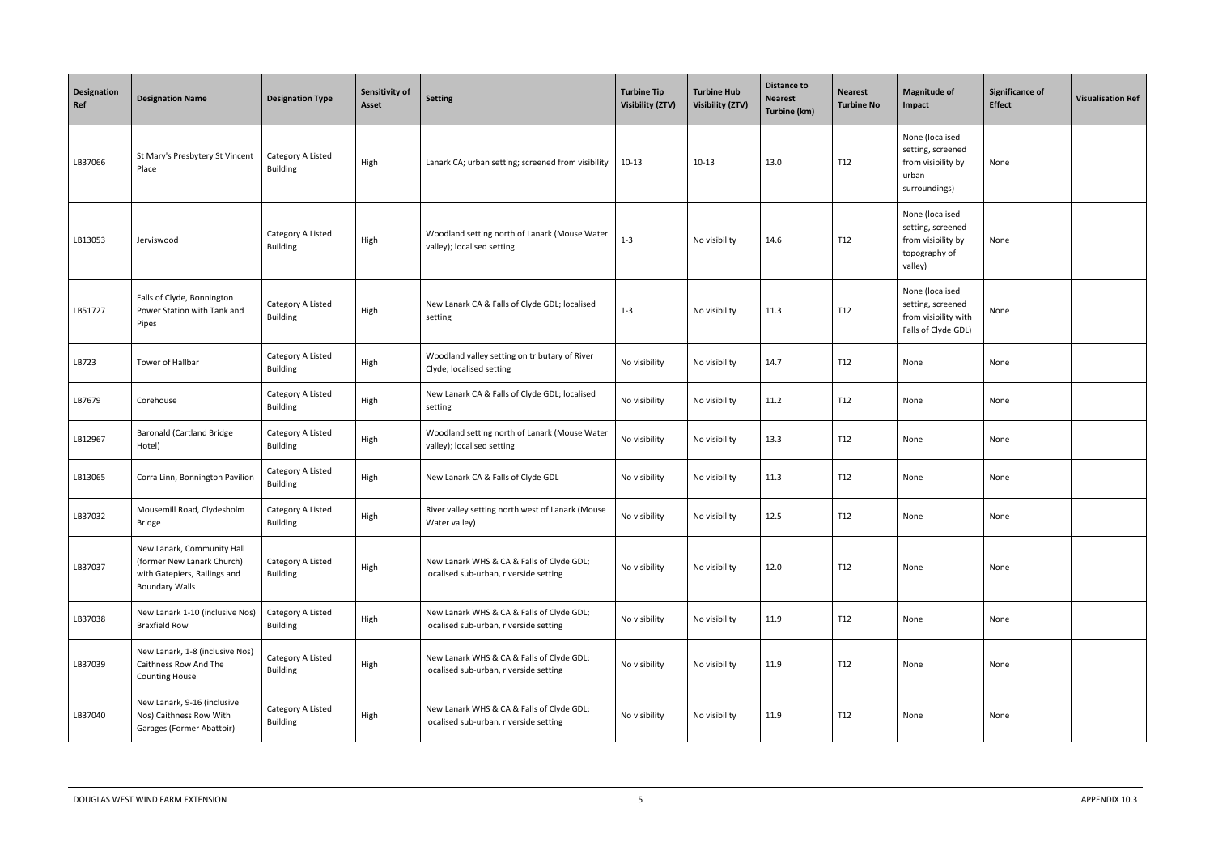| Designation<br>Ref | <b>Designation Name</b>                                                                                           | <b>Designation Type</b>              | Sensitivity of<br>Asset | <b>Setting</b>                                                                      | <b>Turbine Tip</b><br><b>Visibility (ZTV)</b> | <b>Turbine Hub</b><br><b>Visibility (ZTV)</b> | <b>Distance to</b><br><b>Nearest</b><br>Turbine (km) | <b>Nearest</b><br><b>Turbine No</b> | <b>Magnitude of</b><br>Impact                                                          | <b>Significance of</b><br><b>Effect</b> | <b>Visualisation Ref</b> |
|--------------------|-------------------------------------------------------------------------------------------------------------------|--------------------------------------|-------------------------|-------------------------------------------------------------------------------------|-----------------------------------------------|-----------------------------------------------|------------------------------------------------------|-------------------------------------|----------------------------------------------------------------------------------------|-----------------------------------------|--------------------------|
| LB37066            | St Mary's Presbytery St Vincent<br>Place                                                                          | Category A Listed<br><b>Building</b> | High                    | Lanark CA; urban setting; screened from visibility                                  | $10 - 13$                                     | $10-13$                                       | 13.0                                                 | T12                                 | None (localised<br>setting, screened<br>from visibility by<br>urban<br>surroundings)   | None                                    |                          |
| LB13053            | Jerviswood                                                                                                        | Category A Listed<br><b>Building</b> | High                    | Woodland setting north of Lanark (Mouse Water<br>valley); localised setting         | $1 - 3$                                       | No visibility                                 | 14.6                                                 | T12                                 | None (localised<br>setting, screened<br>from visibility by<br>topography of<br>valley) | None                                    |                          |
| LB51727            | Falls of Clyde, Bonnington<br>Power Station with Tank and<br>Pipes                                                | Category A Listed<br><b>Building</b> | High                    | New Lanark CA & Falls of Clyde GDL; localised<br>setting                            | $1 - 3$                                       | No visibility                                 | 11.3                                                 | T12                                 | None (localised<br>setting, screened<br>from visibility with<br>Falls of Clyde GDL)    | None                                    |                          |
| LB723              | Tower of Hallbar                                                                                                  | Category A Listed<br><b>Building</b> | High                    | Woodland valley setting on tributary of River<br>Clyde; localised setting           | No visibility                                 | No visibility                                 | 14.7                                                 | T12                                 | None                                                                                   | None                                    |                          |
| LB7679             | Corehouse                                                                                                         | Category A Listed<br><b>Building</b> | High                    | New Lanark CA & Falls of Clyde GDL; localised<br>setting                            | No visibility                                 | No visibility                                 | 11.2                                                 | T12                                 | None                                                                                   | None                                    |                          |
| LB12967            | <b>Baronald (Cartland Bridge</b><br>Hotel)                                                                        | Category A Listed<br><b>Building</b> | High                    | Woodland setting north of Lanark (Mouse Water<br>valley); localised setting         | No visibility                                 | No visibility                                 | 13.3                                                 | T12                                 | None                                                                                   | None                                    |                          |
| LB13065            | Corra Linn, Bonnington Pavilion                                                                                   | Category A Listed<br><b>Building</b> | High                    | New Lanark CA & Falls of Clyde GDL                                                  | No visibility                                 | No visibility                                 | 11.3                                                 | T12                                 | None                                                                                   | None                                    |                          |
| LB37032            | Mousemill Road, Clydesholm<br><b>Bridge</b>                                                                       | Category A Listed<br><b>Building</b> | High                    | River valley setting north west of Lanark (Mouse<br>Water valley)                   | No visibility                                 | No visibility                                 | 12.5                                                 | T12                                 | None                                                                                   | None                                    |                          |
| LB37037            | New Lanark, Community Hall<br>(former New Lanark Church)<br>with Gatepiers, Railings and<br><b>Boundary Walls</b> | Category A Listed<br><b>Building</b> | High                    | New Lanark WHS & CA & Falls of Clyde GDL;<br>localised sub-urban, riverside setting | No visibility                                 | No visibility                                 | 12.0                                                 | T12                                 | None                                                                                   | None                                    |                          |
| LB37038            | New Lanark 1-10 (inclusive Nos)<br><b>Braxfield Row</b>                                                           | Category A Listed<br><b>Building</b> | High                    | New Lanark WHS & CA & Falls of Clyde GDL;<br>localised sub-urban, riverside setting | No visibility                                 | No visibility                                 | 11.9                                                 | T12                                 | None                                                                                   | None                                    |                          |
| LB37039            | New Lanark, 1-8 (inclusive Nos)<br>Caithness Row And The<br><b>Counting House</b>                                 | Category A Listed<br><b>Building</b> | High                    | New Lanark WHS & CA & Falls of Clyde GDL;<br>localised sub-urban, riverside setting | No visibility                                 | No visibility                                 | 11.9                                                 | T12                                 | None                                                                                   | None                                    |                          |
| LB37040            | New Lanark, 9-16 (inclusive<br>Nos) Caithness Row With<br>Garages (Former Abattoir)                               | Category A Listed<br><b>Building</b> | High                    | New Lanark WHS & CA & Falls of Clyde GDL;<br>localised sub-urban, riverside setting | No visibility                                 | No visibility                                 | 11.9                                                 | T12                                 | None                                                                                   | None                                    |                          |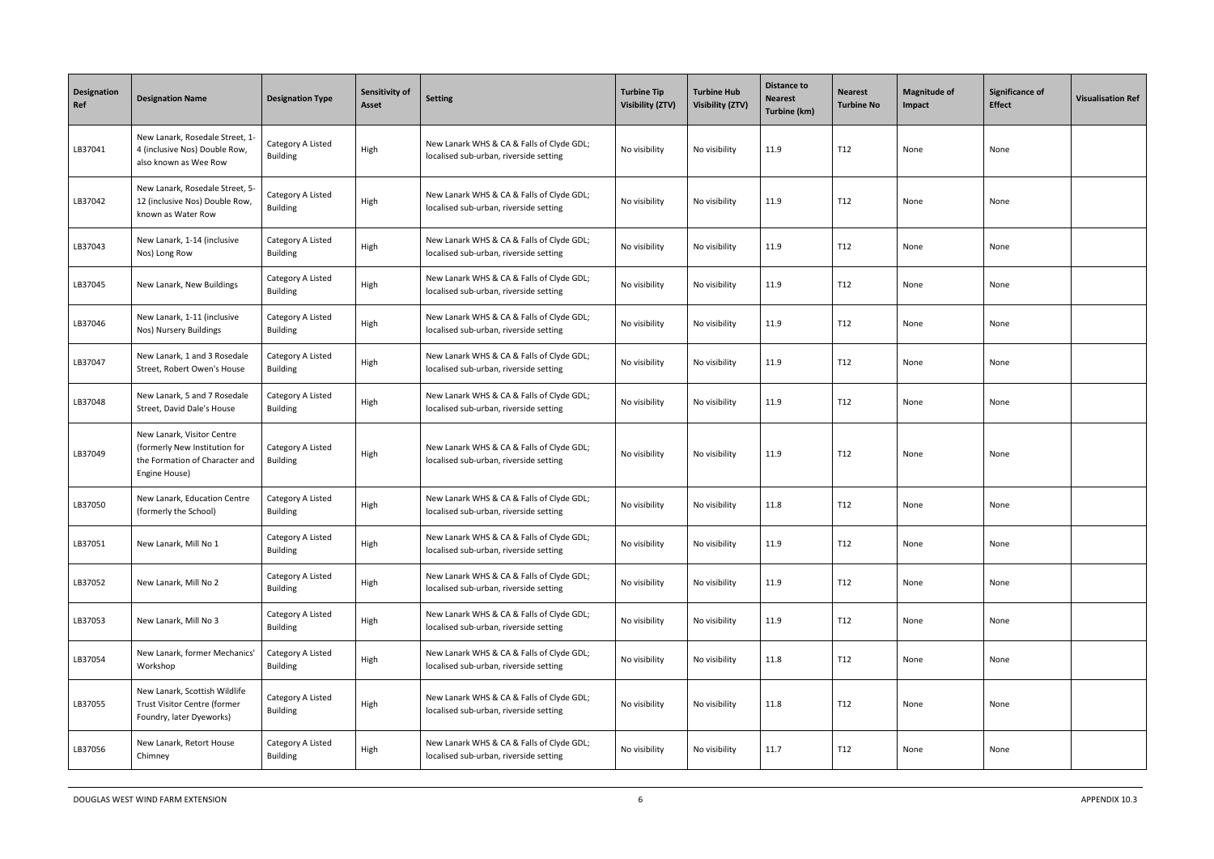| Designation<br>Ref | <b>Designation Name</b>                                                                                        | <b>Designation Type</b>              | Sensitivity of<br>Asset | <b>Setting</b>                                                                      | <b>Turbine Tip</b><br><b>Visibility (ZTV)</b> | <b>Turbine Hub</b><br><b>Visibility (ZTV)</b> | <b>Distance to</b><br><b>Nearest</b><br>Turbine (km) | <b>Nearest</b><br><b>Turbine No</b> | <b>Magnitude of</b><br>Impact | Significance of<br><b>Effect</b> | <b>Visualisation Ref</b> |
|--------------------|----------------------------------------------------------------------------------------------------------------|--------------------------------------|-------------------------|-------------------------------------------------------------------------------------|-----------------------------------------------|-----------------------------------------------|------------------------------------------------------|-------------------------------------|-------------------------------|----------------------------------|--------------------------|
| LB37041            | New Lanark, Rosedale Street, 1-<br>4 (inclusive Nos) Double Row,<br>also known as Wee Row                      | Category A Listed<br><b>Building</b> | High                    | New Lanark WHS & CA & Falls of Clyde GDL;<br>localised sub-urban, riverside setting | No visibility                                 | No visibility                                 | 11.9                                                 | T12                                 | None                          | None                             |                          |
| LB37042            | New Lanark, Rosedale Street, 5-<br>12 (inclusive Nos) Double Row,<br>known as Water Row                        | Category A Listed<br><b>Building</b> | High                    | New Lanark WHS & CA & Falls of Clyde GDL;<br>localised sub-urban, riverside setting | No visibility                                 | No visibility                                 | 11.9                                                 | T12                                 | None                          | None                             |                          |
| LB37043            | New Lanark, 1-14 (inclusive<br>Nos) Long Row                                                                   | Category A Listed<br><b>Building</b> | High                    | New Lanark WHS & CA & Falls of Clyde GDL;<br>localised sub-urban, riverside setting | No visibility                                 | No visibility                                 | 11.9                                                 | T12                                 | None                          | None                             |                          |
| LB37045            | New Lanark, New Buildings                                                                                      | Category A Listed<br><b>Building</b> | High                    | New Lanark WHS & CA & Falls of Clyde GDL;<br>localised sub-urban, riverside setting | No visibility                                 | No visibility                                 | 11.9                                                 | T12                                 | None                          | None                             |                          |
| LB37046            | New Lanark, 1-11 (inclusive<br>Nos) Nursery Buildings                                                          | Category A Listed<br><b>Building</b> | High                    | New Lanark WHS & CA & Falls of Clyde GDL;<br>localised sub-urban, riverside setting | No visibility                                 | No visibility                                 | 11.9                                                 | T12                                 | None                          | None                             |                          |
| LB37047            | New Lanark, 1 and 3 Rosedale<br>Street, Robert Owen's House                                                    | Category A Listed<br><b>Building</b> | High                    | New Lanark WHS & CA & Falls of Clyde GDL;<br>localised sub-urban, riverside setting | No visibility                                 | No visibility                                 | 11.9                                                 | T12                                 | None                          | None                             |                          |
| LB37048            | New Lanark, 5 and 7 Rosedale<br>Street, David Dale's House                                                     | Category A Listed<br><b>Building</b> | High                    | New Lanark WHS & CA & Falls of Clyde GDL;<br>localised sub-urban, riverside setting | No visibility                                 | No visibility                                 | 11.9                                                 | T12                                 | None                          | None                             |                          |
| LB37049            | New Lanark, Visitor Centre<br>(formerly New Institution for<br>the Formation of Character and<br>Engine House) | Category A Listed<br><b>Building</b> | High                    | New Lanark WHS & CA & Falls of Clyde GDL;<br>localised sub-urban, riverside setting | No visibility                                 | No visibility                                 | 11.9                                                 | T12                                 | None                          | None                             |                          |
| LB37050            | New Lanark, Education Centre<br>(formerly the School)                                                          | Category A Listed<br><b>Building</b> | High                    | New Lanark WHS & CA & Falls of Clyde GDL;<br>localised sub-urban, riverside setting | No visibility                                 | No visibility                                 | 11.8                                                 | T12                                 | None                          | None                             |                          |
| LB37051            | New Lanark, Mill No 1                                                                                          | Category A Listed<br><b>Building</b> | High                    | New Lanark WHS & CA & Falls of Clyde GDL;<br>localised sub-urban, riverside setting | No visibility                                 | No visibility                                 | 11.9                                                 | T12                                 | None                          | None                             |                          |
| LB37052            | New Lanark, Mill No 2                                                                                          | Category A Listed<br><b>Building</b> | High                    | New Lanark WHS & CA & Falls of Clyde GDL;<br>localised sub-urban, riverside setting | No visibility                                 | No visibility                                 | 11.9                                                 | T12                                 | None                          | None                             |                          |
| LB37053            | New Lanark, Mill No 3                                                                                          | Category A Listed<br><b>Building</b> | High                    | New Lanark WHS & CA & Falls of Clyde GDL;<br>localised sub-urban, riverside setting | No visibility                                 | No visibility                                 | 11.9                                                 | T12                                 | None                          | None                             |                          |
| LB37054            | New Lanark, former Mechanics'<br>Workshop                                                                      | Category A Listed<br><b>Building</b> | High                    | New Lanark WHS & CA & Falls of Clyde GDL;<br>localised sub-urban, riverside setting | No visibility                                 | No visibility                                 | 11.8                                                 | T12                                 | None                          | None                             |                          |
| LB37055            | New Lanark, Scottish Wildlife<br>Trust Visitor Centre (former<br>Foundry, later Dyeworks)                      | Category A Listed<br><b>Building</b> | High                    | New Lanark WHS & CA & Falls of Clyde GDL;<br>localised sub-urban, riverside setting | No visibility                                 | No visibility                                 | 11.8                                                 | T12                                 | None                          | None                             |                          |
| LB37056            | New Lanark, Retort House<br>Chimney                                                                            | Category A Listed<br><b>Building</b> | High                    | New Lanark WHS & CA & Falls of Clyde GDL;<br>localised sub-urban, riverside setting | No visibility                                 | No visibility                                 | 11.7                                                 | T12                                 | None                          | None                             |                          |